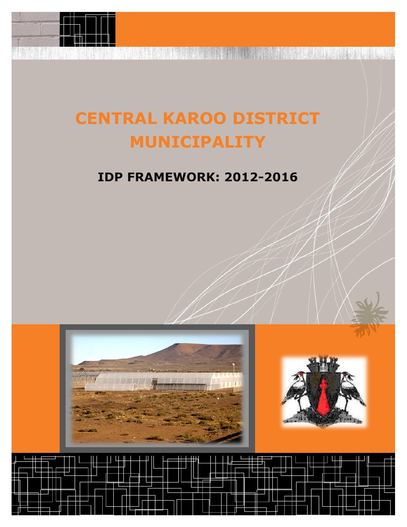

# **CENTRAL KAROO DISTRICT MUNICIPALITY**

# **IDP FRAMEWORK: 2012-2016**





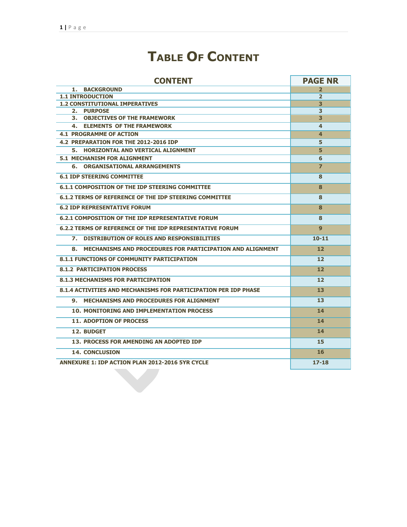# **TABLE OF CONTENT**

| <b>CONTENT</b>                                                  | <b>PAGE NR</b> |  |  |  |  |
|-----------------------------------------------------------------|----------------|--|--|--|--|
| 1. BACKGROUND                                                   | $\overline{2}$ |  |  |  |  |
| <b>1.1 INTRODUCTION</b>                                         | $\overline{2}$ |  |  |  |  |
| <b>1.2 CONSTITUTIONAL IMPERATIVES</b>                           | 3              |  |  |  |  |
| 2. PURPOSE                                                      | 3              |  |  |  |  |
| 3. OBJECTIVES OF THE FRAMEWORK                                  | 3              |  |  |  |  |
| 4. ELEMENTS OF THE FRAMEWORK                                    | 4              |  |  |  |  |
| <b>4.1 PROGRAMME OF ACTION</b>                                  | 4              |  |  |  |  |
| 4.2 PREPARATION FOR THE 2012-2016 IDP                           | 5              |  |  |  |  |
| 5. HORIZONTAL AND VERTICAL ALIGNMENT                            | 5              |  |  |  |  |
| <b>5.1 MECHANISM FOR ALIGNMENT</b>                              | 6              |  |  |  |  |
| <b>6. ORGANISATIONAL ARRANGEMENTS</b>                           | 7              |  |  |  |  |
| <b>6.1 IDP STEERING COMMITTEE</b>                               | 8              |  |  |  |  |
| <b>6.1.1 COMPOSITION OF THE IDP STEERING COMMITTEE</b>          | 8              |  |  |  |  |
| 6.1.2 TERMS OF REFERENCE OF THE IDP STEERING COMMITTEE          | 8              |  |  |  |  |
| <b>6.2 IDP REPRESENTATIVE FORUM</b>                             | 8              |  |  |  |  |
| <b>6.2.1 COMPOSITION OF THE IDP REPRESENTATIVE FORUM</b>        | 8              |  |  |  |  |
| <b>6.2.2 TERMS OF REFERENCE OF THE IDP REPRESENTATIVE FORUM</b> | q              |  |  |  |  |
| 7. DISTRIBUTION OF ROLES AND RESPONSIBILITIES                   | $10 - 11$      |  |  |  |  |
| 8. MECHANISMS AND PROCEDURES FOR PARTICIPATION AND ALIGNMENT    | 12             |  |  |  |  |
| <b>8.1.1 FUNCTIONS OF COMMUNITY PARTICIPATION</b>               | 12             |  |  |  |  |
| <b>8.1.2 PARTICIPATION PROCESS</b>                              | 12             |  |  |  |  |
| <b>8.1.3 MECHANISMS FOR PARTICIPATION</b>                       | 12             |  |  |  |  |
| 8.1.4 ACTIVITIES AND MECHANISMS FOR PARTICIPATION PER IDP PHASE | 13             |  |  |  |  |
| 9. MECHANISMS AND PROCEDURES FOR ALIGNMENT                      | 13             |  |  |  |  |
| <b>10. MONITORING AND IMPLEMENTATION PROCESS</b>                | 14             |  |  |  |  |
| <b>11. ADOPTION OF PROCESS</b>                                  | 14             |  |  |  |  |
| 12. BUDGET                                                      | 14             |  |  |  |  |
| 13. PROCESS FOR AMENDING AN ADOPTED IDP                         | 15             |  |  |  |  |
| <b>14. CONCLUSION</b>                                           | 16             |  |  |  |  |
| <b>ANNEXURE 1: IDP ACTION PLAN 2012-2016 5YR CYCLE</b>          | $17-18$        |  |  |  |  |
|                                                                 |                |  |  |  |  |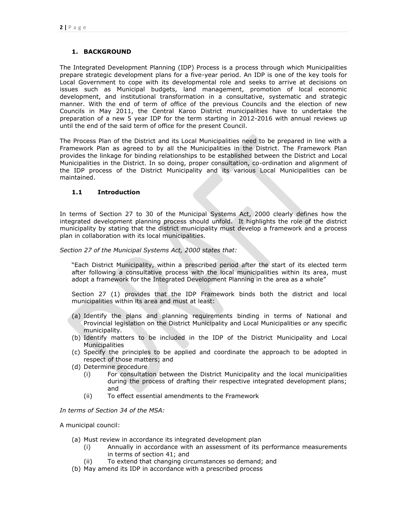# **1. BACKGROUND**

The Integrated Development Planning (IDP) Process is a process through which Municipalities prepare strategic development plans for a five-year period. An IDP is one of the key tools for Local Government to cope with its developmental role and seeks to arrive at decisions on issues such as Municipal budgets, land management, promotion of local economic development, and institutional transformation in a consultative, systematic and strategic manner. With the end of term of office of the previous Councils and the election of new Councils in May 2011, the Central Karoo District municipalities have to undertake the preparation of a new 5 year IDP for the term starting in 2012-2016 with annual reviews up until the end of the said term of office for the present Council.

The Process Plan of the District and its Local Municipalities need to be prepared in line with a Framework Plan as agreed to by all the Municipalities in the District. The Framework Plan provides the linkage for binding relationships to be established between the District and Local Municipalities in the District. In so doing, proper consultation, co-ordination and alignment of the IDP process of the District Municipality and its various Local Municipalities can be maintained.

# **1.1 Introduction**

In terms of Section 27 to 30 of the Municipal Systems Act, 2000 clearly defines how the integrated development planning process should unfold. It highlights the role of the district municipality by stating that the district municipality must develop a framework and a process plan in collaboration with its local municipalities.

#### *Section 27 of the Municipal Systems Act, 2000 states that:*

"Each District Municipality, within a prescribed period after the start of its elected term after following a consultative process with the local municipalities within its area, must adopt a framework for the Integrated Development Planning in the area as a whole"

Section 27 (1) provides that the IDP Framework binds both the district and local municipalities within its area and must at least:

- (a) Identify the plans and planning requirements binding in terms of National and Provincial legislation on the District Municipality and Local Municipalities or any specific municipality.
- (b) Identify matters to be included in the IDP of the District Municipality and Local **Municipalities**
- (c) Specify the principles to be applied and coordinate the approach to be adopted in respect of those matters; and
- (d) Determine procedure
	- (i) For consultation between the District Municipality and the local municipalities during the process of drafting their respective integrated development plans; and
	- (ii) To effect essential amendments to the Framework

*In terms of Section 34 of the MSA:*

A municipal council:

- (a) Must review in accordance its integrated development plan
	- (i) Annually in accordance with an assessment of its performance measurements in terms of section 41; and
	- (ii) To extend that changing circumstances so demand; and
- (b) May amend its IDP in accordance with a prescribed process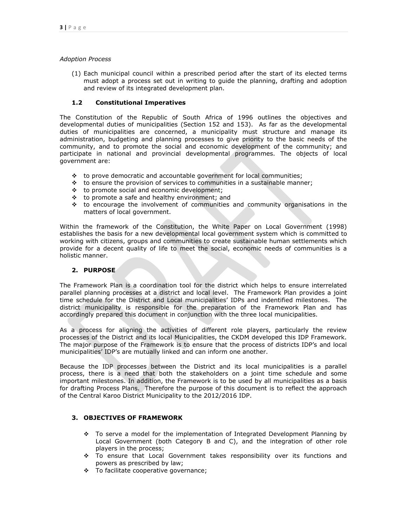#### *Adoption Process*

(1) Each municipal council within a prescribed period after the start of its elected terms must adopt a process set out in writing to guide the planning, drafting and adoption and review of its integrated development plan.

# **1.2 Constitutional Imperatives**

The Constitution of the Republic of South Africa of 1996 outlines the objectives and developmental duties of municipalities (Section 152 and 153). As far as the developmental duties of municipalities are concerned, a municipality must structure and manage its administration, budgeting and planning processes to give priority to the basic needs of the community, and to promote the social and economic development of the community; and participate in national and provincial developmental programmes. The objects of local government are:

- $\cdot \cdot$  to prove democratic and accountable government for local communities;
- $\cdot\cdot\cdot$  to ensure the provision of services to communities in a sustainable manner;
- to promote social and economic development;
- to promote a safe and healthy environment; and
- $\div$  to encourage the involvement of communities and community organisations in the matters of local government.

Within the framework of the Constitution, the White Paper on Local Government (1998) establishes the basis for a new developmental local government system which is committed to working with citizens, groups and communities to create sustainable human settlements which provide for a decent quality of life to meet the social, economic needs of communities is a holistic manner.

# **2. PURPOSE**

The Framework Plan is a coordination tool for the district which helps to ensure interrelated parallel planning processes at a district and local level. The Framework Plan provides a joint time schedule for the District and Local municipalities" IDPs and indentified milestones. The district municipality is responsible for the preparation of the Framework Plan and has accordingly prepared this document in conjunction with the three local municipalities.

As a process for aligning the activities of different role players, particularly the review processes of the District and its local Municipalities, the CKDM developed this IDP Framework. The major purpose of the Framework is to ensure that the process of districts IDP"s and local municipalities' IDP's are mutually linked and can inform one another.

Because the IDP processes between the District and its local municipalities is a parallel process, there is a need that both the stakeholders on a joint time schedule and some important milestones. In addition, the Framework is to be used by all municipalities as a basis for drafting Process Plans. Therefore the purpose of this document is to reflect the approach of the Central Karoo District Municipality to the 2012/2016 IDP.

# **3. OBJECTIVES OF FRAMEWORK**

- To serve a model for the implementation of Integrated Development Planning by Local Government (both Category B and C), and the integration of other role players in the process;
- To ensure that Local Government takes responsibility over its functions and powers as prescribed by law;
- \* To facilitate cooperative governance;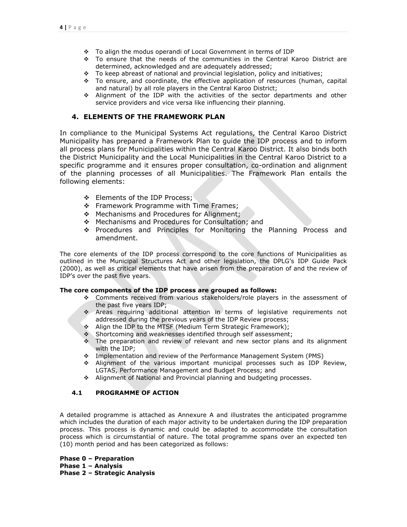- \* To align the modus operandi of Local Government in terms of IDP
- To ensure that the needs of the communities in the Central Karoo District are determined, acknowledged and are adequately addressed;
- \* To keep abreast of national and provincial legislation, policy and initiatives;
- To ensure, and coordinate, the effective application of resources (human, capital and natural) by all role players in the Central Karoo District;
- Alignment of the IDP with the activities of the sector departments and other service providers and vice versa like influencing their planning.

# **4. ELEMENTS OF THE FRAMEWORK PLAN**

In compliance to the Municipal Systems Act regulations, the Central Karoo District Municipality has prepared a Framework Plan to guide the IDP process and to inform all process plans for Municipalities within the Central Karoo District. It also binds both the District Municipality and the Local Municipalities in the Central Karoo District to a specific programme and it ensures proper consultation, co-ordination and alignment of the planning processes of all Municipalities. The Framework Plan entails the following elements:

- Elements of the IDP Process;
- ❖ Framework Programme with Time Frames;
- ❖ Mechanisms and Procedures for Alignment;
- Mechanisms and Procedures for Consultation; and
- Procedures and Principles for Monitoring the Planning Process and amendment.

The core elements of the IDP process correspond to the core functions of Municipalities as outlined in the Municipal Structures Act and other legislation, the DPLG"s IDP Guide Pack (2000), as well as critical elements that have arisen from the preparation of and the review of IDP"s over the past five years.

# **The core components of the IDP process are grouped as follows:**

- Comments received from various stakeholders/role players in the assessment of the past five years IDP;
- Areas requiring additional attention in terms of legislative requirements not addressed during the previous years of the IDP Review process;
- Align the IDP to the MTSF (Medium Term Strategic Framework);
- Shortcoming and weaknesses identified through self assessment;
- The preparation and review of relevant and new sector plans and its alignment with the IDP;
- Implementation and review of the Performance Management System (PMS)
- Alignment of the various important municipal processes such as IDP Review, LGTAS, Performance Management and Budget Process; and
- Alignment of National and Provincial planning and budgeting processes.

# **4.1 PROGRAMME OF ACTION**

A detailed programme is attached as Annexure A and illustrates the anticipated programme which includes the duration of each major activity to be undertaken during the IDP preparation process. This process is dynamic and could be adapted to accommodate the consultation process which is circumstantial of nature. The total programme spans over an expected ten (10) month period and has been categorized as follows:

**Phase 0 – Preparation Phase 1 – Analysis Phase 2 – Strategic Analysis**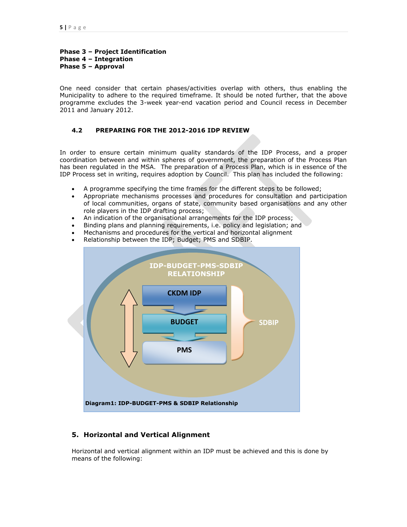# **Phase 3 – Project Identification Phase 4 – Integration Phase 5 – Approval**

One need consider that certain phases/activities overlap with others, thus enabling the Municipality to adhere to the required timeframe. It should be noted further, that the above programme excludes the 3-week year-end vacation period and Council recess in December 2011 and January 2012.

# **4.2 PREPARING FOR THE 2012-2016 IDP REVIEW**

In order to ensure certain minimum quality standards of the IDP Process, and a proper coordination between and within spheres of government, the preparation of the Process Plan has been regulated in the MSA. The preparation of a Process Plan, which is in essence of the IDP Process set in writing, requires adoption by Council. This plan has included the following:

- A programme specifying the time frames for the different steps to be followed;
- Appropriate mechanisms processes and procedures for consultation and participation of local communities, organs of state, community based organisations and any other role players in the IDP drafting process;
- An indication of the organisational arrangements for the IDP process;
- Binding plans and planning requirements, i.e. policy and legislation; and
- Mechanisms and procedures for the vertical and horizontal alignment
- Relationship between the IDP; Budget; PMS and SDBIP.



# **5. Horizontal and Vertical Alignment**

Horizontal and vertical alignment within an IDP must be achieved and this is done by means of the following: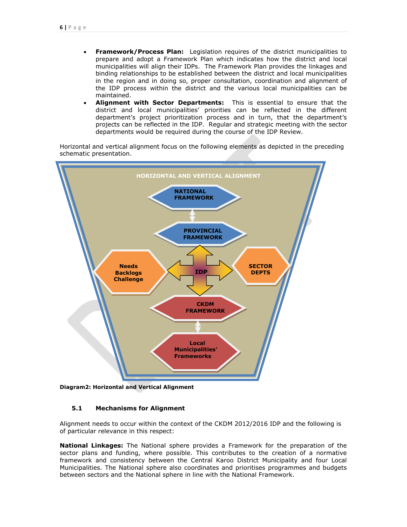- **Framework/Process Plan:** Legislation requires of the district municipalities to prepare and adopt a Framework Plan which indicates how the district and local municipalities will align their IDPs. The Framework Plan provides the linkages and binding relationships to be established between the district and local municipalities in the region and in doing so, proper consultation, coordination and alignment of the IDP process within the district and the various local municipalities can be maintained.
- **Alignment with Sector Departments:** This is essential to ensure that the district and local municipalities" priorities can be reflected in the different department's project prioritization process and in turn, that the department's projects can be reflected in the IDP. Regular and strategic meeting with the sector departments would be required during the course of the IDP Review.

Horizontal and vertical alignment focus on the following elements as depicted in the preceding schematic presentation.



**Diagram2: Horizontal and Vertical Alignment**

#### **5.1 Mechanisms for Alignment**

Alignment needs to occur within the context of the CKDM 2012/2016 IDP and the following is of particular relevance in this respect:

**National Linkages:** The National sphere provides a Framework for the preparation of the sector plans and funding, where possible. This contributes to the creation of a normative framework and consistency between the Central Karoo District Municipality and four Local Municipalities. The National sphere also coordinates and prioritises programmes and budgets between sectors and the National sphere in line with the National Framework.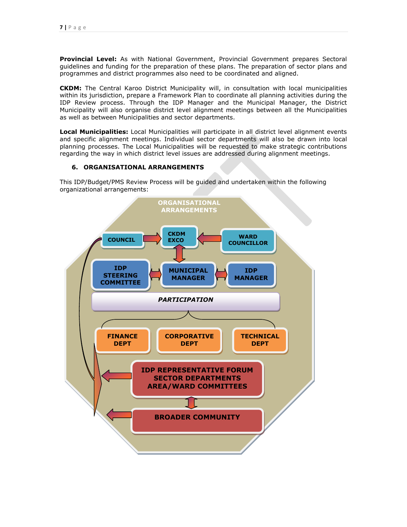**Provincial Level:** As with National Government, Provincial Government prepares Sectoral guidelines and funding for the preparation of these plans. The preparation of sector plans and programmes and district programmes also need to be coordinated and aligned.

**CKDM:** The Central Karoo District Municipality will, in consultation with local municipalities within its jurisdiction, prepare a Framework Plan to coordinate all planning activities during the IDP Review process. Through the IDP Manager and the Municipal Manager, the District Municipality will also organise district level alignment meetings between all the Municipalities as well as between Municipalities and sector departments.

**Local Municipalities:** Local Municipalities will participate in all district level alignment events and specific alignment meetings. Individual sector departments will also be drawn into local planning processes. The Local Municipalities will be requested to make strategic contributions regarding the way in which district level issues are addressed during alignment meetings.

#### **6. ORGANISATIONAL ARRANGEMENTS**

This IDP/Budget/PMS Review Process will be guided and undertaken within the following organizational arrangements:

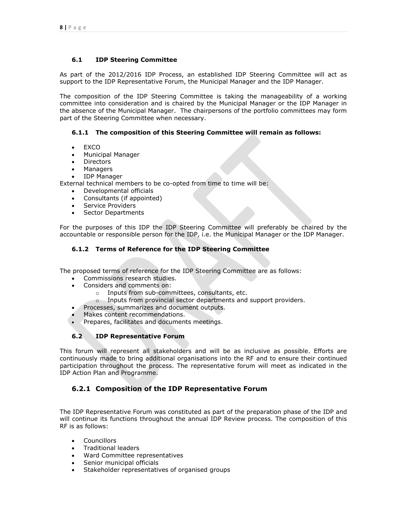# **6.1 IDP Steering Committee**

As part of the 2012/2016 IDP Process, an established IDP Steering Committee will act as support to the IDP Representative Forum, the Municipal Manager and the IDP Manager.

The composition of the IDP Steering Committee is taking the manageability of a working committee into consideration and is chaired by the Municipal Manager or the IDP Manager in the absence of the Municipal Manager. The chairpersons of the portfolio committees may form part of the Steering Committee when necessary.

# **6.1.1 The composition of this Steering Committee will remain as follows:**

- EXCO
- Municipal Manager
- Directors
- Managers
- IDP Manager

External technical members to be co-opted from time to time will be:

- Developmental officials
- Consultants (if appointed)
- Service Providers
- Sector Departments

For the purposes of this IDP the IDP Steering Committee will preferably be chaired by the accountable or responsible person for the IDP, i.e. the Municipal Manager or the IDP Manager.

# **6.1.2 Terms of Reference for the IDP Steering Committee**

The proposed terms of reference for the IDP Steering Committee are as follows:

- Commissions research studies.
- Considers and comments on:
	- o Inputs from sub-committees, consultants, etc.
	- o Inputs from provincial sector departments and support providers.
- Processes, summarizes and document outputs.
- Makes content recommendations.
- Prepares, facilitates and documents meetings.

# **6.2 IDP Representative Forum**

This forum will represent all stakeholders and will be as inclusive as possible. Efforts are continuously made to bring additional organisations into the RF and to ensure their continued participation throughout the process. The representative forum will meet as indicated in the IDP Action Plan and Programme.

# **6.2.1 Composition of the IDP Representative Forum**

The IDP Representative Forum was constituted as part of the preparation phase of the IDP and will continue its functions throughout the annual IDP Review process. The composition of this RF is as follows:

- Councillors
- Traditional leaders
- Ward Committee representatives
- Senior municipal officials
- Stakeholder representatives of organised groups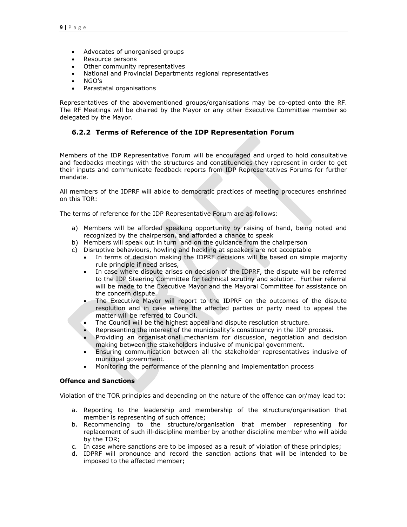- Advocates of unorganised groups
- Resource persons
- Other community representatives
- National and Provincial Departments regional representatives
- NGO"s
- Parastatal organisations

Representatives of the abovementioned groups/organisations may be co-opted onto the RF. The RF Meetings will be chaired by the Mayor or any other Executive Committee member so delegated by the Mayor.

# **6.2.2 Terms of Reference of the IDP Representation Forum**

Members of the IDP Representative Forum will be encouraged and urged to hold consultative and feedbacks meetings with the structures and constituencies they represent in order to get their inputs and communicate feedback reports from IDP Representatives Forums for further mandate.

All members of the IDPRF will abide to democratic practices of meeting procedures enshrined on this TOR:

The terms of reference for the IDP Representative Forum are as follows:

- a) Members will be afforded speaking opportunity by raising of hand, being noted and recognized by the chairperson, and afforded a chance to speak
- b) Members will speak out in turn and on the guidance from the chairperson
- c) Disruptive behaviours, howling and heckling at speakers are not acceptable
	- In terms of decision making the IDPRF decisions will be based on simple majority rule principle if need arises,
	- In case where dispute arises on decision of the IDPRF, the dispute will be referred to the IDP Steering Committee for technical scrutiny and solution. Further referral will be made to the Executive Mayor and the Mayoral Committee for assistance on the concern dispute.
	- The Executive Mayor will report to the IDPRF on the outcomes of the dispute resolution and in case where the affected parties or party need to appeal the matter will be referred to Council.
	- The Council will be the highest appeal and dispute resolution structure.
	- Representing the interest of the municipality"s constituency in the IDP process.
	- Providing an organisational mechanism for discussion, negotiation and decision making between the stakeholders inclusive of municipal government.
	- Ensuring communication between all the stakeholder representatives inclusive of municipal government.
	- Monitoring the performance of the planning and implementation process

#### **Offence and Sanctions**

Violation of the TOR principles and depending on the nature of the offence can or/may lead to:

- a. Reporting to the leadership and membership of the structure/organisation that member is representing of such offence;
- b. Recommending to the structure/organisation that member representing for replacement of such ill-discipline member by another discipline member who will abide by the TOR;
- c. In case where sanctions are to be imposed as a result of violation of these principles;
- d. IDPRF will pronounce and record the sanction actions that will be intended to be imposed to the affected member;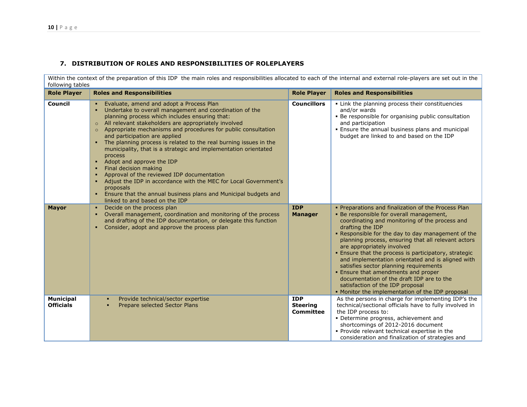# **7. DISTRIBUTION OF ROLES AND RESPONSIBILITIES OF ROLEPLAYERS**

Within the context of the preparation of this IDP the main roles and responsibilities allocated to each of the internal and external role-players are set out in the following tables

| <b>Role Player</b>                   | <b>Roles and Responsibilities</b>                                                                                                                                                                                                                                                                                                                                                                                                                                                                                                                                                                                                                                                                                                                                                                                              | <b>Role Player</b>                                | <b>Roles and Responsibilities</b>                                                                                                                                                                                                                                                                                                                                                                                                                                                                                                                                                                                                                    |
|--------------------------------------|--------------------------------------------------------------------------------------------------------------------------------------------------------------------------------------------------------------------------------------------------------------------------------------------------------------------------------------------------------------------------------------------------------------------------------------------------------------------------------------------------------------------------------------------------------------------------------------------------------------------------------------------------------------------------------------------------------------------------------------------------------------------------------------------------------------------------------|---------------------------------------------------|------------------------------------------------------------------------------------------------------------------------------------------------------------------------------------------------------------------------------------------------------------------------------------------------------------------------------------------------------------------------------------------------------------------------------------------------------------------------------------------------------------------------------------------------------------------------------------------------------------------------------------------------------|
| Council                              | Evaluate, amend and adopt a Process Plan<br>Undertake to overall management and coordination of the<br>planning process which includes ensuring that:<br>All relevant stakeholders are appropriately involved<br>$\circ$<br>Appropriate mechanisms and procedures for public consultation<br>$\circ$<br>and participation are applied<br>• The planning process is related to the real burning issues in the<br>municipality, that is a strategic and implementation orientated<br>process<br>Adopt and approve the IDP<br>$\blacksquare$<br>Final decision making<br>п.<br>Approval of the reviewed IDP documentation<br>Adjust the IDP in accordance with the MEC for Local Government's<br>proposals<br>Ensure that the annual business plans and Municipal budgets and<br>$\blacksquare$<br>linked to and based on the IDP | <b>Councillors</b>                                | . Link the planning process their constituencies<br>and/or wards<br>• Be responsible for organising public consultation<br>and participation<br>. Ensure the annual business plans and municipal<br>budget are linked to and based on the IDP                                                                                                                                                                                                                                                                                                                                                                                                        |
| <b>Mayor</b>                         | Decide on the process plan<br>$\blacksquare$<br>Overall management, coordination and monitoring of the process<br>and drafting of the IDP documentation, or delegate this function<br>Consider, adopt and approve the process plan<br>$\blacksquare$                                                                                                                                                                                                                                                                                                                                                                                                                                                                                                                                                                           | <b>IDP</b><br><b>Manager</b>                      | • Preparations and finalization of the Process Plan<br>. Be responsible for overall management,<br>coordinating and monitoring of the process and<br>drafting the IDP<br>. Responsible for the day to day management of the<br>planning process, ensuring that all relevant actors<br>are appropriately involved<br>. Ensure that the process is participatory, strategic<br>and implementation orientated and is aligned with<br>satisfies sector planning requirements<br>. Ensure that amendments and proper<br>documentation of the draft IDP are to the<br>satisfaction of the IDP proposal<br>• Monitor the implementation of the IDP proposal |
| <b>Municipal</b><br><b>Officials</b> | Provide technical/sector expertise<br>٠<br>Prepare selected Sector Plans                                                                                                                                                                                                                                                                                                                                                                                                                                                                                                                                                                                                                                                                                                                                                       | <b>IDP</b><br><b>Steering</b><br><b>Committee</b> | As the persons in charge for implementing IDP's the<br>technical/sectional officials have to fully involved in<br>the IDP process to:<br>• Determine progress, achievement and<br>shortcomings of 2012-2016 document<br>. Provide relevant technical expertise in the<br>consideration and finalization of strategies and                                                                                                                                                                                                                                                                                                                            |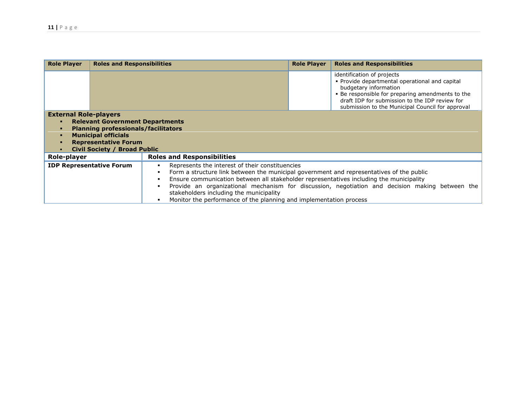| <b>Role Player</b>                                                                                                                                                                                                                                                                                                                                                                                                                                                                                                                | <b>Roles and Responsibilities</b> | <b>Role Player</b><br><b>Roles and Responsibilities</b>                                                                                                                                                                                                         |  |  |  |  |  |
|-----------------------------------------------------------------------------------------------------------------------------------------------------------------------------------------------------------------------------------------------------------------------------------------------------------------------------------------------------------------------------------------------------------------------------------------------------------------------------------------------------------------------------------|-----------------------------------|-----------------------------------------------------------------------------------------------------------------------------------------------------------------------------------------------------------------------------------------------------------------|--|--|--|--|--|
|                                                                                                                                                                                                                                                                                                                                                                                                                                                                                                                                   |                                   | identification of projects<br>• Provide departmental operational and capital<br>budgetary information<br>. Be responsible for preparing amendments to the<br>draft IDP for submission to the IDP review for<br>submission to the Municipal Council for approval |  |  |  |  |  |
| <b>External Role-players</b><br><b>Relevant Government Departments</b><br><b>Planning professionals/facilitators</b><br><b>Municipal officials</b><br><b>Representative Forum</b><br><b>Civil Society / Broad Public</b>                                                                                                                                                                                                                                                                                                          |                                   |                                                                                                                                                                                                                                                                 |  |  |  |  |  |
| Role-player                                                                                                                                                                                                                                                                                                                                                                                                                                                                                                                       |                                   | <b>Roles and Responsibilities</b>                                                                                                                                                                                                                               |  |  |  |  |  |
| <b>IDP Representative Forum</b><br>Represents the interest of their constituencies<br>Form a structure link between the municipal government and representatives of the public<br>$\blacksquare$<br>Ensure communication between all stakeholder representatives including the municipality<br>Provide an organizational mechanism for discussion, negotiation and decision making between the<br>$\blacksquare$<br>stakeholders including the municipality<br>Monitor the performance of the planning and implementation process |                                   |                                                                                                                                                                                                                                                                 |  |  |  |  |  |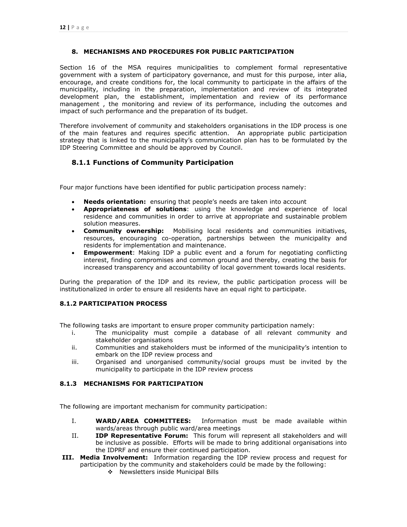# **8. MECHANISMS AND PROCEDURES FOR PUBLIC PARTICIPATION**

Section 16 of the MSA requires municipalities to complement formal representative government with a system of participatory governance, and must for this purpose, inter alia, encourage, and create conditions for, the local community to participate in the affairs of the municipality, including in the preparation, implementation and review of its integrated development plan, the establishment, implementation and review of its performance management , the monitoring and review of its performance, including the outcomes and impact of such performance and the preparation of its budget.

Therefore involvement of community and stakeholders organisations in the IDP process is one of the main features and requires specific attention. An appropriate public participation strategy that is linked to the municipality"s communication plan has to be formulated by the IDP Steering Committee and should be approved by Council.

# **8.1.1 Functions of Community Participation**

Four major functions have been identified for public participation process namely:

- **Needs orientation:** ensuring that people"s needs are taken into account
- **Appropriateness of solutions**: using the knowledge and experience of local residence and communities in order to arrive at appropriate and sustainable problem solution measures.
- **Community ownership:** Mobilising local residents and communities initiatives, resources, encouraging co-operation, partnerships between the municipality and residents for implementation and maintenance.
- **Empowerment**: Making IDP a public event and a forum for negotiating conflicting interest, finding compromises and common ground and thereby, creating the basis for increased transparency and accountability of local government towards local residents.

During the preparation of the IDP and its review, the public participation process will be institutionalized in order to ensure all residents have an equal right to participate.

# **8.1.2 PARTICIPATION PROCESS**

The following tasks are important to ensure proper community participation namely:

- i. The municipality must compile a database of all relevant community and stakeholder organisations
- ii. Communities and stakeholders must be informed of the municipality"s intention to embark on the IDP review process and
- iii. Organised and unorganised community/social groups must be invited by the municipality to participate in the IDP review process

# **8.1.3 MECHANISMS FOR PARTICIPATION**

The following are important mechanism for community participation:

- I. **WARD/AREA COMMITTEES:** Information must be made available within wards/areas through public ward/area meetings
- II. **IDP Representative Forum:** This forum will represent all stakeholders and will be inclusive as possible. Efforts will be made to bring additional organisations into the IDPRF and ensure their continued participation.
- **III. Media Involvement:** Information regarding the IDP review process and request for participation by the community and stakeholders could be made by the following:
	- \* Newsletters inside Municipal Bills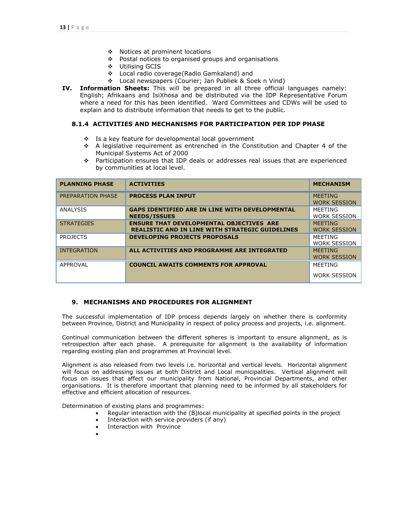- ◆ Notices at prominent locations
- \* Postal notices to organised groups and organisations
- Utilising GCIS
- Local radio coverage(Radio Gamkaland) and
- Local newspapers (Courier; Jan Publiek & Soek n Vind)
- **IV. Information Sheets:** This will be prepared in all three official languages namely: English; Afrikaans and IsiXhosa and be distributed via the IDP Representative Forum where a need for this has been identified. Ward Committees and CDWs will be used to explain and to distribute information that needs to get to the public.

#### **8.1.4 ACTIVITIES AND MECHANISMS FOR PARTICIPATION PER IDP PHASE**

- ❖ Is a key feature for developmental local government
- $\div$  A legislative requirement as entrenched in the Constitution and Chapter 4 of the Municipal Systems Act of 2000
- Participation ensures that IDP deals or addresses real issues that are experienced by communities at local level.

| <b>PLANNING PHASE</b> | <b>ACTIVITIES</b>                                                                                         | <b>MECHANISM</b>                      |
|-----------------------|-----------------------------------------------------------------------------------------------------------|---------------------------------------|
| PREPARATION PHASE     | <b>PROCESS PLAN INPUT</b>                                                                                 | <b>MEETING</b><br><b>WORK SESSION</b> |
| <b>ANALYSIS</b>       | <b>GAPS IDENTIFIED ARE IN LINE WITH DEVELOPMENTAL</b><br><b>NEEDS/ISSUES</b>                              | MEETING<br><b>WORK SESSION</b>        |
| <b>STRATEGIES</b>     | <b>ENSURE THAT DEVELOPMENTAL OBJECTIVES ARE</b><br><b>REALISTIC AND IN LINE WITH STRATEGIC GUIDELINES</b> | <b>MFFTING</b><br><b>WORK SESSION</b> |
| <b>PROJECTS</b>       | <b>DEVELOPING PROJECTS PROPOSALS</b>                                                                      | <b>MFFTING</b><br><b>WORK SESSION</b> |
| <b>INTEGRATION</b>    | ALL ACTIVITIES AND PROGRAMME ARE INTEGRATED                                                               | <b>MEETING</b><br><b>WORK SESSION</b> |
| APPROVAL              | <b>COUNCIL AWAITS COMMENTS FOR APPROVAL</b>                                                               | <b>MFFTING</b>                        |
|                       |                                                                                                           | <b>WORK SESSION</b>                   |

# **9. MECHANISMS AND PROCEDURES FOR ALIGNMENT**

The successful implementation of IDP process depends largely on whether there is conformity between Province, District and Municipality in respect of policy process and projects, i.e. alignment.

Continual communication between the different spheres is important to ensure alignment, as is retrospection after each phase. A prerequisite for alignment is the availability of information regarding existing plan and programmes at Provincial level.

Alignment is also released from two levels i.e. horizontal and vertical levels. Horizontal alignment will focus on addressing issues at both District and Local municipalities. Vertical alignment will focus on issues that affect our municipality from National, Provincial Departments, and other organisations. It is therefore important that planning need to be informed by all stakeholders for effective and efficient allocation of resources.

Determination of existing plans and programmes:

- Regular interaction with the (B)local municipality at specified points in the project
- Interaction with service providers (if any)
- Interaction with Province
- $\bullet$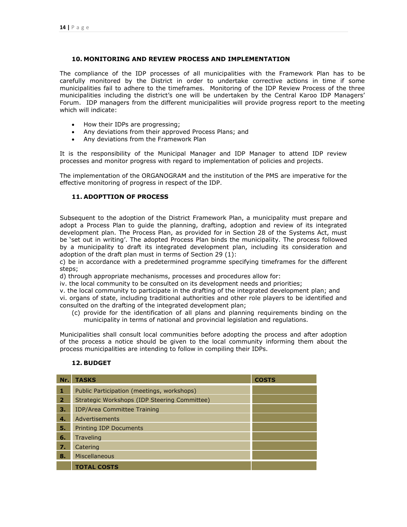# **10. MONITORING AND REVIEW PROCESS AND IMPLEMENTATION**

The compliance of the IDP processes of all municipalities with the Framework Plan has to be carefully monitored by the District in order to undertake corrective actions in time if some municipalities fail to adhere to the timeframes. Monitoring of the IDP Review Process of the three municipalities including the district's one will be undertaken by the Central Karoo IDP Managers' Forum. IDP managers from the different municipalities will provide progress report to the meeting which will indicate:

- How their IDPs are progressing;
- Any deviations from their approved Process Plans; and
- Any deviations from the Framework Plan

It is the responsibility of the Municipal Manager and IDP Manager to attend IDP review processes and monitor progress with regard to implementation of policies and projects.

The implementation of the ORGANOGRAM and the institution of the PMS are imperative for the effective monitoring of progress in respect of the IDP.

#### **11. ADOPTTION OF PROCESS**

Subsequent to the adoption of the District Framework Plan, a municipality must prepare and adopt a Process Plan to guide the planning, drafting, adoption and review of its integrated development plan. The Process Plan, as provided for in Section 28 of the Systems Act, must be 'set out in writing'. The adopted Process Plan binds the municipality. The process followed by a municipality to draft its integrated development plan, including its consideration and adoption of the draft plan must in terms of Section 29 (1):

c) be in accordance with a predetermined programme specifying timeframes for the different steps;

d) through appropriate mechanisms, processes and procedures allow for:

iv. the local community to be consulted on its development needs and priorities;

v. the local community to participate in the drafting of the integrated development plan; and vi. organs of state, including traditional authorities and other role players to be identified and consulted on the drafting of the integrated development plan;

(c) provide for the identification of all plans and planning requirements binding on the municipality in terms of national and provincial legislation and regulations.

Municipalities shall consult local communities before adopting the process and after adoption of the process a notice should be given to the local community informing them about the process municipalities are intending to follow in compiling their IDPs.

# **12. BUDGET**

| Nr.            | <b>TASKS</b>                                 | <b>COSTS</b> |
|----------------|----------------------------------------------|--------------|
| 1              | Public Participation (meetings, workshops)   |              |
| $\overline{2}$ | Strategic Workshops (IDP Steering Committee) |              |
| з.             | <b>IDP/Area Committee Training</b>           |              |
| 4.             | Advertisements                               |              |
| 5.             | <b>Printing IDP Documents</b>                |              |
| 6.             | <b>Traveling</b>                             |              |
| 7.             | Catering                                     |              |
| 8.             | Miscellaneous                                |              |
|                | <b>TOTAL COSTS</b>                           |              |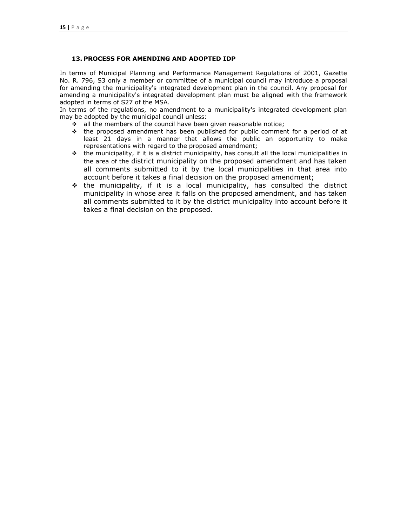# **13. PROCESS FOR AMENDING AND ADOPTED IDP**

In terms of Municipal Planning and Performance Management Regulations of 2001, Gazette No. R. 796, S3 only a member or committee of a municipal council may introduce a proposal for amending the municipality's integrated development plan in the council. Any proposal for amending a municipality's integrated development plan must be aligned with the framework adopted in terms of S27 of the MSA.

In terms of the regulations, no amendment to a municipality's integrated development plan may be adopted by the municipal council unless:

- \* all the members of the council have been given reasonable notice;
- $\div$  the proposed amendment has been published for public comment for a period of at least 21 days in a manner that allows the public an opportunity to make representations with regard to the proposed amendment;
- the municipality, if it is a district municipality, has consult all the local municipalities in the area of the district municipality on the proposed amendment and has taken all comments submitted to it by the local municipalities in that area into account before it takes a final decision on the proposed amendment;
- $\div$  the municipality, if it is a local municipality, has consulted the district municipality in whose area it falls on the proposed amendment, and has taken all comments submitted to it by the district municipality into account before it takes a final decision on the proposed.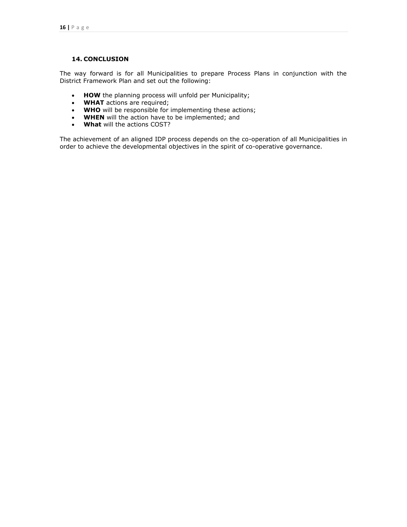# **14. CONCLUSION**

The way forward is for all Municipalities to prepare Process Plans in conjunction with the District Framework Plan and set out the following:

- HOW the planning process will unfold per Municipality;
- **WHAT** actions are required;
- WHO will be responsible for implementing these actions;
- **WHEN** will the action have to be implemented; and
- **What** will the actions COST?

The achievement of an aligned IDP process depends on the co-operation of all Municipalities in order to achieve the developmental objectives in the spirit of co-operative governance.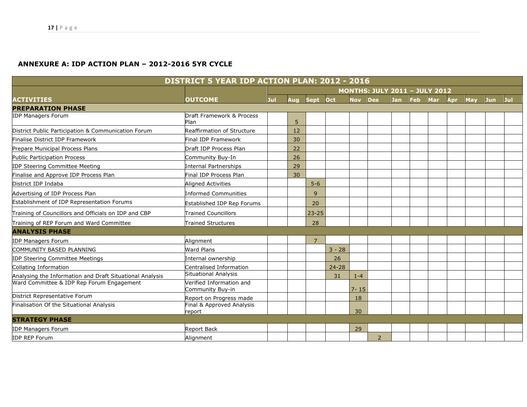# **ANNEXURE A: IDP ACTION PLAN – 2012-2016 5YR CYCLE**

| DISTRICT 5 YEAR IDP ACTION PLAN: 2012 - 2016             |                                              |     |            |                |           |            |                |            |            |            |            |     |     |     |
|----------------------------------------------------------|----------------------------------------------|-----|------------|----------------|-----------|------------|----------------|------------|------------|------------|------------|-----|-----|-----|
|                                                          | <b>MONTHS: JULY 2011 - JULY 2012</b>         |     |            |                |           |            |                |            |            |            |            |     |     |     |
| <b>ACTIVITIES</b>                                        | <b>OUTCOME</b>                               | Jul | <b>Aua</b> | <b>Sept</b>    | Oct       | <b>Nov</b> | <b>Des</b>     | <b>Jan</b> | <b>Feb</b> | <b>Mar</b> | <b>Apr</b> | May | Jun | Jul |
| <b>PREPARATION PHASE</b>                                 |                                              |     |            |                |           |            |                |            |            |            |            |     |     |     |
| <b>IDP Managers Forum</b>                                | Draft Framework & Process<br>Plan            |     | 5          |                |           |            |                |            |            |            |            |     |     |     |
| District Public Participation & Communication Forum      | <b>Reaffirmation of Structure</b>            |     | 12         |                |           |            |                |            |            |            |            |     |     |     |
| Finalise District IDP Framework                          | <b>Final IDP Framework</b>                   |     | 30         |                |           |            |                |            |            |            |            |     |     |     |
| Prepare Municipal Process Plans                          | Draft IDP Process Plan                       |     | 22         |                |           |            |                |            |            |            |            |     |     |     |
| <b>Public Participation Process</b>                      | Community Buy-In                             |     | 26         |                |           |            |                |            |            |            |            |     |     |     |
| <b>IDP Steering Committee Meeting</b>                    | Internal Partnerships                        |     | 29         |                |           |            |                |            |            |            |            |     |     |     |
| Finalise and Approve IDP Process Plan                    | <b>Final IDP Process Plan</b>                |     | 30         |                |           |            |                |            |            |            |            |     |     |     |
| District IDP Indaba                                      | <b>Aligned Activities</b>                    |     |            | $5 - 6$        |           |            |                |            |            |            |            |     |     |     |
| Advertising of IDP Process Plan                          | <b>Informed Communities</b>                  |     |            | 9              |           |            |                |            |            |            |            |     |     |     |
| Establishment of IDP Representation Forums               | Established IDP Rep Forums                   |     |            | 20             |           |            |                |            |            |            |            |     |     |     |
| Training of Councillors and Officials on IDP and CBP     | <b>Trained Councillors</b>                   |     |            | $23 - 25$      |           |            |                |            |            |            |            |     |     |     |
| Training of REP Forum and Ward Committee                 | <b>Trained Structures</b>                    |     |            | 28             |           |            |                |            |            |            |            |     |     |     |
| <b>ANALYSIS PHASE</b>                                    |                                              |     |            |                |           |            |                |            |            |            |            |     |     |     |
| <b>IDP Managers Forum</b>                                | Alignment                                    |     |            | $\overline{7}$ |           |            |                |            |            |            |            |     |     |     |
| COMMUNITY BASED PLANNING                                 | <b>Ward Plans</b>                            |     |            |                | $3 - 28$  |            |                |            |            |            |            |     |     |     |
| <b>IDP Steering Committee Meetings</b>                   | Internal ownership                           |     |            |                | 26        |            |                |            |            |            |            |     |     |     |
| Collating Information                                    | Centralised Information                      |     |            |                | $24 - 28$ |            |                |            |            |            |            |     |     |     |
| Analysing the Information and Draft Situational Analysis | <b>Situational Analysis</b>                  |     |            |                | 31        | $1 - 4$    |                |            |            |            |            |     |     |     |
| Ward Committee & IDP Rep Forum Engagement                | Verified Information and<br>Community Buy-in |     |            |                |           | $7 - 15$   |                |            |            |            |            |     |     |     |
| District Representative Forum                            | Report on Progress made                      |     |            |                |           | 18         |                |            |            |            |            |     |     |     |
| Finalisation Of the Situational Analysis                 | Final & Approved Analysis<br>report          |     |            |                |           | 30         |                |            |            |            |            |     |     |     |
| <b>STRATEGY PHASE</b>                                    |                                              |     |            |                |           |            |                |            |            |            |            |     |     |     |
| <b>IDP Managers Forum</b>                                | <b>Report Back</b>                           |     |            |                |           | 29         |                |            |            |            |            |     |     |     |
| <b>IDP REP Forum</b>                                     | Alignment                                    |     |            |                |           |            | $\overline{2}$ |            |            |            |            |     |     |     |